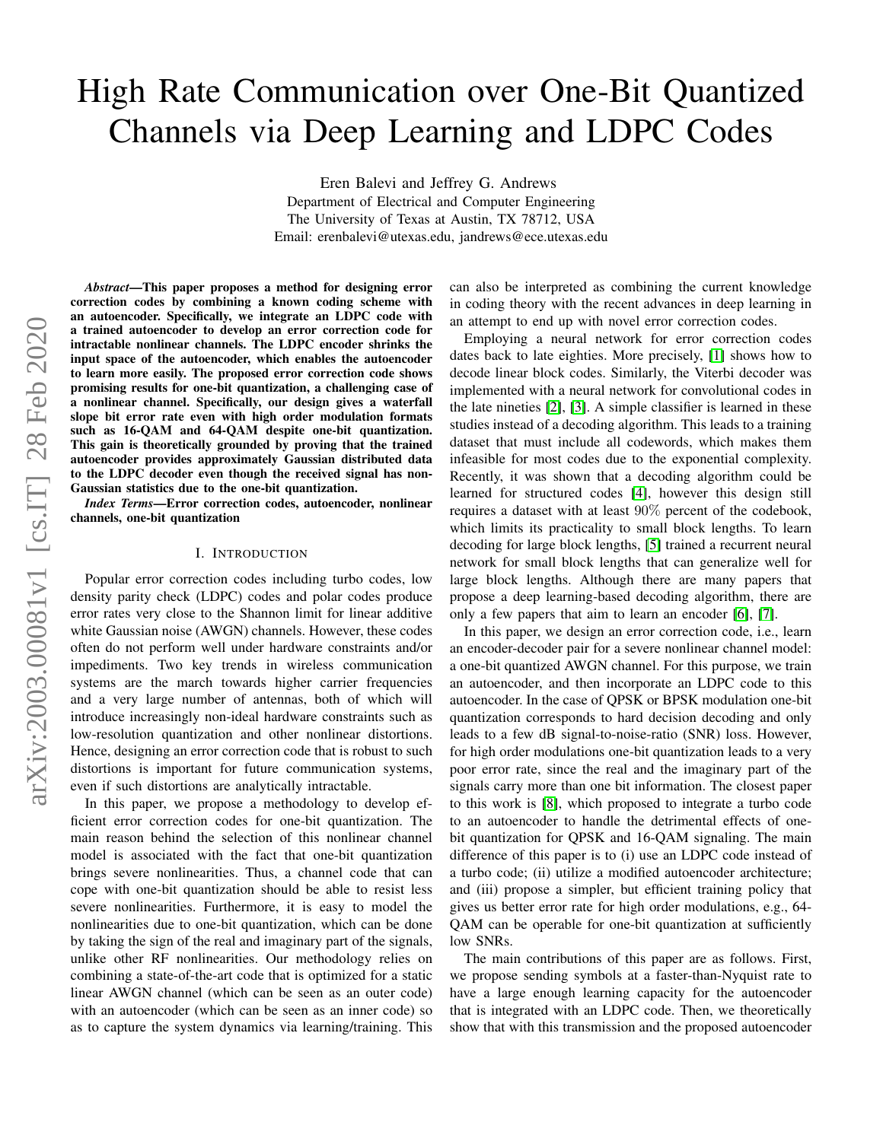# High Rate Communication over One-Bit Quantized Channels via Deep Learning and LDPC Codes

Eren Balevi and Jeffrey G. Andrews Department of Electrical and Computer Engineering The University of Texas at Austin, TX 78712, USA Email: erenbalevi@utexas.edu, jandrews@ece.utexas.edu

*Abstract*—This paper proposes a method for designing error correction codes by combining a known coding scheme with an autoencoder. Specifically, we integrate an LDPC code with a trained autoencoder to develop an error correction code for intractable nonlinear channels. The LDPC encoder shrinks the input space of the autoencoder, which enables the autoencoder to learn more easily. The proposed error correction code shows promising results for one-bit quantization, a challenging case of a nonlinear channel. Specifically, our design gives a waterfall slope bit error rate even with high order modulation formats such as 16-QAM and 64-QAM despite one-bit quantization. This gain is theoretically grounded by proving that the trained autoencoder provides approximately Gaussian distributed data to the LDPC decoder even though the received signal has non-Gaussian statistics due to the one-bit quantization.

*Index Terms*—Error correction codes, autoencoder, nonlinear channels, one-bit quantization

### I. INTRODUCTION

Popular error correction codes including turbo codes, low density parity check (LDPC) codes and polar codes produce error rates very close to the Shannon limit for linear additive white Gaussian noise (AWGN) channels. However, these codes often do not perform well under hardware constraints and/or impediments. Two key trends in wireless communication systems are the march towards higher carrier frequencies and a very large number of antennas, both of which will introduce increasingly non-ideal hardware constraints such as low-resolution quantization and other nonlinear distortions. Hence, designing an error correction code that is robust to such distortions is important for future communication systems, even if such distortions are analytically intractable.

In this paper, we propose a methodology to develop efficient error correction codes for one-bit quantization. The main reason behind the selection of this nonlinear channel model is associated with the fact that one-bit quantization brings severe nonlinearities. Thus, a channel code that can cope with one-bit quantization should be able to resist less severe nonlinearities. Furthermore, it is easy to model the nonlinearities due to one-bit quantization, which can be done by taking the sign of the real and imaginary part of the signals, unlike other RF nonlinearities. Our methodology relies on combining a state-of-the-art code that is optimized for a static linear AWGN channel (which can be seen as an outer code) with an autoencoder (which can be seen as an inner code) so as to capture the system dynamics via learning/training. This can also be interpreted as combining the current knowledge in coding theory with the recent advances in deep learning in an attempt to end up with novel error correction codes.

Employing a neural network for error correction codes dates back to late eighties. More precisely, [\[1\]](#page-4-0) shows how to decode linear block codes. Similarly, the Viterbi decoder was implemented with a neural network for convolutional codes in the late nineties [\[2\]](#page-4-1), [\[3\]](#page-4-2). A simple classifier is learned in these studies instead of a decoding algorithm. This leads to a training dataset that must include all codewords, which makes them infeasible for most codes due to the exponential complexity. Recently, it was shown that a decoding algorithm could be learned for structured codes [\[4\]](#page-4-3), however this design still requires a dataset with at least 90% percent of the codebook, which limits its practicality to small block lengths. To learn decoding for large block lengths, [\[5\]](#page-4-4) trained a recurrent neural network for small block lengths that can generalize well for large block lengths. Although there are many papers that propose a deep learning-based decoding algorithm, there are only a few papers that aim to learn an encoder [\[6\]](#page-4-5), [\[7\]](#page-4-6).

In this paper, we design an error correction code, i.e., learn an encoder-decoder pair for a severe nonlinear channel model: a one-bit quantized AWGN channel. For this purpose, we train an autoencoder, and then incorporate an LDPC code to this autoencoder. In the case of QPSK or BPSK modulation one-bit quantization corresponds to hard decision decoding and only leads to a few dB signal-to-noise-ratio (SNR) loss. However, for high order modulations one-bit quantization leads to a very poor error rate, since the real and the imaginary part of the signals carry more than one bit information. The closest paper to this work is [\[8\]](#page-4-7), which proposed to integrate a turbo code to an autoencoder to handle the detrimental effects of onebit quantization for QPSK and 16-QAM signaling. The main difference of this paper is to (i) use an LDPC code instead of a turbo code; (ii) utilize a modified autoencoder architecture; and (iii) propose a simpler, but efficient training policy that gives us better error rate for high order modulations, e.g., 64- QAM can be operable for one-bit quantization at sufficiently low SNRs.

The main contributions of this paper are as follows. First, we propose sending symbols at a faster-than-Nyquist rate to have a large enough learning capacity for the autoencoder that is integrated with an LDPC code. Then, we theoretically show that with this transmission and the proposed autoencoder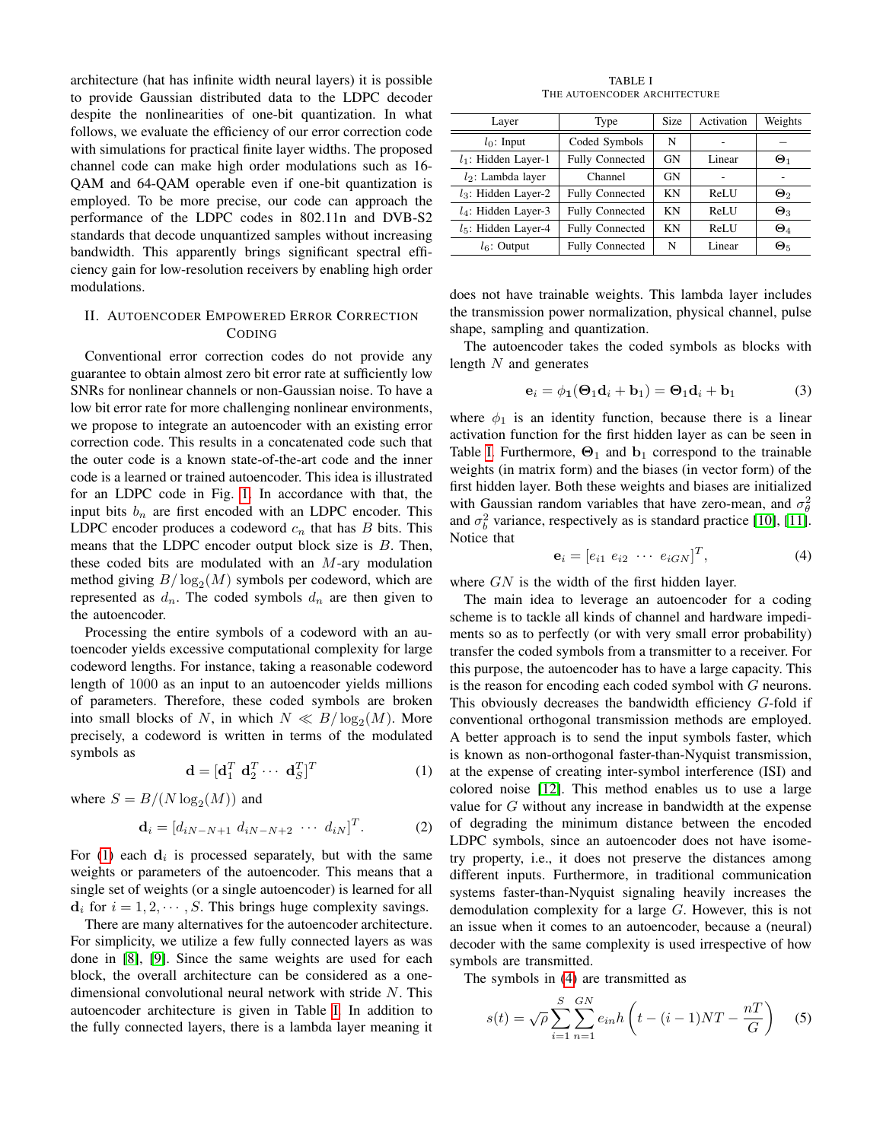architecture (hat has infinite width neural layers) it is possible to provide Gaussian distributed data to the LDPC decoder despite the nonlinearities of one-bit quantization. In what follows, we evaluate the efficiency of our error correction code with simulations for practical finite layer widths. The proposed channel code can make high order modulations such as 16- QAM and 64-QAM operable even if one-bit quantization is employed. To be more precise, our code can approach the performance of the LDPC codes in 802.11n and DVB-S2 standards that decode unquantized samples without increasing bandwidth. This apparently brings significant spectral efficiency gain for low-resolution receivers by enabling high order modulations.

# II. AUTOENCODER EMPOWERED ERROR CORRECTION CODING

Conventional error correction codes do not provide any guarantee to obtain almost zero bit error rate at sufficiently low SNRs for nonlinear channels or non-Gaussian noise. To have a low bit error rate for more challenging nonlinear environments, we propose to integrate an autoencoder with an existing error correction code. This results in a concatenated code such that the outer code is a known state-of-the-art code and the inner code is a learned or trained autoencoder. This idea is illustrated for an LDPC code in Fig. [1.](#page-2-0) In accordance with that, the input bits  $b_n$  are first encoded with an LDPC encoder. This LDPC encoder produces a codeword  $c_n$  that has  $B$  bits. This means that the LDPC encoder output block size is B. Then, these coded bits are modulated with an  $M$ -ary modulation method giving  $B/\log_2(M)$  symbols per codeword, which are represented as  $d_n$ . The coded symbols  $d_n$  are then given to the autoencoder.

Processing the entire symbols of a codeword with an autoencoder yields excessive computational complexity for large codeword lengths. For instance, taking a reasonable codeword length of 1000 as an input to an autoencoder yields millions of parameters. Therefore, these coded symbols are broken into small blocks of N, in which  $N \ll B/\log_2(M)$ . More precisely, a codeword is written in terms of the modulated symbols as

<span id="page-1-0"></span>
$$
\mathbf{d} = [\mathbf{d}_1^T \ \mathbf{d}_2^T \cdots \ \mathbf{d}_S^T]^T \tag{1}
$$

where  $S = B/(N \log_2(M))$  and

<span id="page-1-3"></span>
$$
\mathbf{d}_i = [d_{iN-N+1} \ d_{iN-N+2} \ \cdots \ d_{iN}]^T. \tag{2}
$$

For [\(1\)](#page-1-0) each  $\mathbf{d}_i$  is processed separately, but with the same weights or parameters of the autoencoder. This means that a single set of weights (or a single autoencoder) is learned for all  $d_i$  for  $i = 1, 2, \dots, S$ . This brings huge complexity savings.

There are many alternatives for the autoencoder architecture. For simplicity, we utilize a few fully connected layers as was done in [\[8\]](#page-4-7), [\[9\]](#page-4-8). Since the same weights are used for each block, the overall architecture can be considered as a onedimensional convolutional neural network with stride  $N$ . This autoencoder architecture is given in Table [I.](#page-1-1) In addition to the fully connected layers, there is a lambda layer meaning it

TABLE I THE AUTOENCODER ARCHITECTURE

<span id="page-1-1"></span>

| Layer                  | Type                   | <b>Size</b> | Activation  | Weights               |
|------------------------|------------------------|-------------|-------------|-----------------------|
| $l_0$ : Input          | Coded Symbols          | N           |             |                       |
| $l_1$ : Hidden Layer-1 | <b>Fully Connected</b> | <b>GN</b>   | Linear      | $\Theta_1$            |
| $l_2$ : Lambda layer   | Channel                | <b>GN</b>   |             |                       |
| $l_3$ : Hidden Layer-2 | <b>Fully Connected</b> | KN          | <b>ReLU</b> | $\mathbf{\Theta}_{2}$ |
| $l_4$ : Hidden Layer-3 | <b>Fully Connected</b> | KN          | <b>ReLU</b> | $\Theta_3$            |
| $l_5$ : Hidden Layer-4 | <b>Fully Connected</b> | KN          | ReLU        | $\Theta_4$            |
| $l_6$ : Output         | <b>Fully Connected</b> | N           | Linear      | $\Theta_{5}$          |

does not have trainable weights. This lambda layer includes the transmission power normalization, physical channel, pulse shape, sampling and quantization.

The autoencoder takes the coded symbols as blocks with length  $N$  and generates

$$
\mathbf{e}_i = \phi_1(\mathbf{\Theta}_1 \mathbf{d}_i + \mathbf{b}_1) = \mathbf{\Theta}_1 \mathbf{d}_i + \mathbf{b}_1 \tag{3}
$$

where  $\phi_1$  is an identity function, because there is a linear activation function for the first hidden layer as can be seen in Table [I.](#page-1-1) Furthermore,  $\Theta_1$  and  $\mathbf{b}_1$  correspond to the trainable weights (in matrix form) and the biases (in vector form) of the first hidden layer. Both these weights and biases are initialized with Gaussian random variables that have zero-mean, and  $\sigma_{\theta}^2$ and  $\sigma_b^2$  variance, respectively as is standard practice [\[10\]](#page-4-9), [\[11\]](#page-4-10). Notice that

<span id="page-1-2"></span>
$$
\mathbf{e}_i = [e_{i1} \ e_{i2} \ \cdots \ e_{iGN}]^T, \tag{4}
$$

where  $GN$  is the width of the first hidden layer.

The main idea to leverage an autoencoder for a coding scheme is to tackle all kinds of channel and hardware impediments so as to perfectly (or with very small error probability) transfer the coded symbols from a transmitter to a receiver. For this purpose, the autoencoder has to have a large capacity. This is the reason for encoding each coded symbol with G neurons. This obviously decreases the bandwidth efficiency G-fold if conventional orthogonal transmission methods are employed. A better approach is to send the input symbols faster, which is known as non-orthogonal faster-than-Nyquist transmission, at the expense of creating inter-symbol interference (ISI) and colored noise [\[12\]](#page-4-11). This method enables us to use a large value for  $G$  without any increase in bandwidth at the expense of degrading the minimum distance between the encoded LDPC symbols, since an autoencoder does not have isometry property, i.e., it does not preserve the distances among different inputs. Furthermore, in traditional communication systems faster-than-Nyquist signaling heavily increases the demodulation complexity for a large G. However, this is not an issue when it comes to an autoencoder, because a (neural) decoder with the same complexity is used irrespective of how symbols are transmitted.

The symbols in [\(4\)](#page-1-2) are transmitted as

$$
s(t) = \sqrt{\rho} \sum_{i=1}^{S} \sum_{n=1}^{GN} e_{in} h\left(t - (i-1)NT - \frac{nT}{G}\right)
$$
 (5)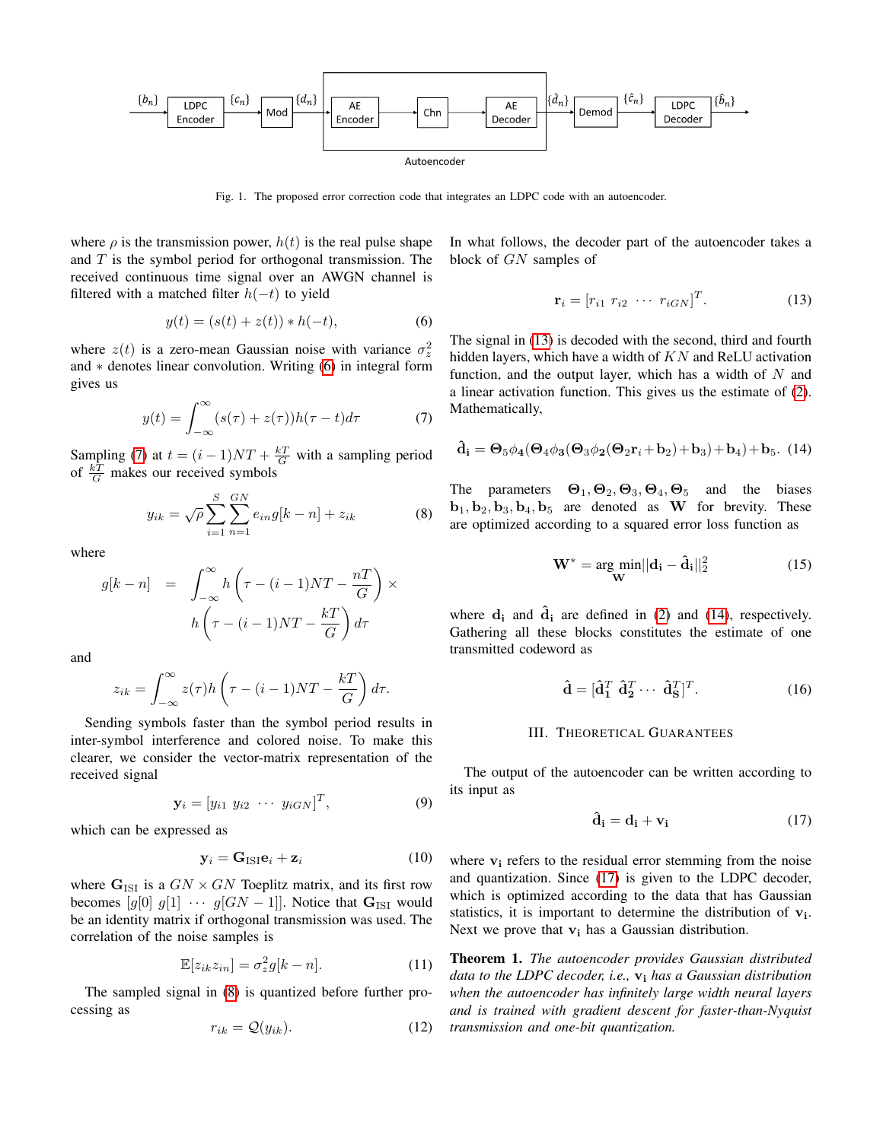

<span id="page-2-0"></span>Fig. 1. The proposed error correction code that integrates an LDPC code with an autoencoder.

where  $\rho$  is the transmission power,  $h(t)$  is the real pulse shape and  $T$  is the symbol period for orthogonal transmission. The received continuous time signal over an AWGN channel is filtered with a matched filter  $h(-t)$  to yield

<span id="page-2-1"></span>
$$
y(t) = (s(t) + z(t)) * h(-t),
$$
\n(6)

where  $z(t)$  is a zero-mean Gaussian noise with variance  $\sigma_z^2$ and ∗ denotes linear convolution. Writing [\(6\)](#page-2-1) in integral form gives us

<span id="page-2-2"></span>
$$
y(t) = \int_{-\infty}^{\infty} (s(\tau) + z(\tau))h(\tau - t)d\tau \tag{7}
$$

Sampling [\(7\)](#page-2-2) at  $t = (i - 1)NT + \frac{kT}{G}$  with a sampling period of  $\frac{kT}{G}$  makes our received symbols

<span id="page-2-3"></span>
$$
y_{ik} = \sqrt{\rho} \sum_{i=1}^{S} \sum_{n=1}^{GN} e_{in} g[k-n] + z_{ik}
$$
 (8)

where

<span id="page-2-7"></span>
$$
g[k-n] = \int_{-\infty}^{\infty} h\left(\tau - (i-1)NT - \frac{nT}{G}\right) \times
$$

$$
h\left(\tau - (i-1)NT - \frac{kT}{G}\right)d\tau
$$

and

$$
z_{ik} = \int_{-\infty}^{\infty} z(\tau)h\left(\tau - (i-1)NT - \frac{kT}{G}\right)d\tau.
$$

Sending symbols faster than the symbol period results in inter-symbol interference and colored noise. To make this clearer, we consider the vector-matrix representation of the received signal

$$
\mathbf{y}_i = [y_{i1} \ y_{i2} \ \cdots \ y_{iGN}]^T, \tag{9}
$$

which can be expressed as

<span id="page-2-8"></span>
$$
\mathbf{y}_i = \mathbf{G}_{\text{ISI}} \mathbf{e}_i + \mathbf{z}_i \tag{10}
$$

where  $G_{\text{ISI}}$  is a  $GN \times GN$  Toeplitz matrix, and its first row becomes  $[g[0] \ g[1] \ \cdots \ g[GN-1]]$ . Notice that  $\mathbf{G}_{\text{ISI}}$  would be an identity matrix if orthogonal transmission was used. The correlation of the noise samples is

<span id="page-2-9"></span>
$$
\mathbb{E}[z_{ik}z_{in}] = \sigma_z^2 g[k-n]. \tag{11}
$$

The sampled signal in [\(8\)](#page-2-3) is quantized before further processing as

$$
r_{ik} = \mathcal{Q}(y_{ik}).\tag{12}
$$

In what follows, the decoder part of the autoencoder takes a block of GN samples of

<span id="page-2-4"></span>
$$
\mathbf{r}_i = [r_{i1} \ r_{i2} \ \cdots \ r_{iGN}]^T. \tag{13}
$$

The signal in [\(13\)](#page-2-4) is decoded with the second, third and fourth hidden layers, which have a width of  $KN$  and ReLU activation function, and the output layer, which has a width of  $N$  and a linear activation function. This gives us the estimate of [\(2\)](#page-1-3). Mathematically,

<span id="page-2-5"></span>
$$
\hat{\mathbf{d}}_i = \mathbf{\Theta}_5 \phi_4 (\mathbf{\Theta}_4 \phi_3 (\mathbf{\Theta}_3 \phi_2 (\mathbf{\Theta}_2 \mathbf{r}_i + \mathbf{b}_2) + \mathbf{b}_3) + \mathbf{b}_4) + \mathbf{b}_5. (14)
$$

The parameters  $\Theta_1$ ,  $\Theta_2$ ,  $\Theta_3$ ,  $\Theta_4$ ,  $\Theta_5$  and the biases  $\mathbf{b}_1, \mathbf{b}_2, \mathbf{b}_3, \mathbf{b}_4, \mathbf{b}_5$  are denoted as W for brevity. These are optimized according to a squared error loss function as

<span id="page-2-10"></span>
$$
\mathbf{W}^* = \underset{\mathbf{W}}{\text{arg min}} ||\mathbf{d_i} - \hat{\mathbf{d}}_i||_2^2 \tag{15}
$$

where  $\mathbf{d}_i$  and  $\mathbf{\hat{d}}_i$  are defined in [\(2\)](#page-1-3) and [\(14\)](#page-2-5), respectively. Gathering all these blocks constitutes the estimate of one transmitted codeword as

$$
\hat{\mathbf{d}} = [\hat{\mathbf{d}}_1^T \ \hat{\mathbf{d}}_2^T \cdots \ \hat{\mathbf{d}}_S^T]^T. \tag{16}
$$

#### III. THEORETICAL GUARANTEES

The output of the autoencoder can be written according to its input as

<span id="page-2-6"></span>
$$
\hat{\mathbf{d}}_{\mathbf{i}} = \mathbf{d}_{\mathbf{i}} + \mathbf{v}_{\mathbf{i}} \tag{17}
$$

where  $v_i$  refers to the residual error stemming from the noise and quantization. Since [\(17\)](#page-2-6) is given to the LDPC decoder, which is optimized according to the data that has Gaussian statistics, it is important to determine the distribution of v<sub>i</sub>. Next we prove that  $v_i$  has a Gaussian distribution.

Theorem 1. *The autoencoder provides Gaussian distributed data to the LDPC decoder, i.e.,*  $v_i$  *has a Gaussian distribution when the autoencoder has infinitely large width neural layers and is trained with gradient descent for faster-than-Nyquist transmission and one-bit quantization.*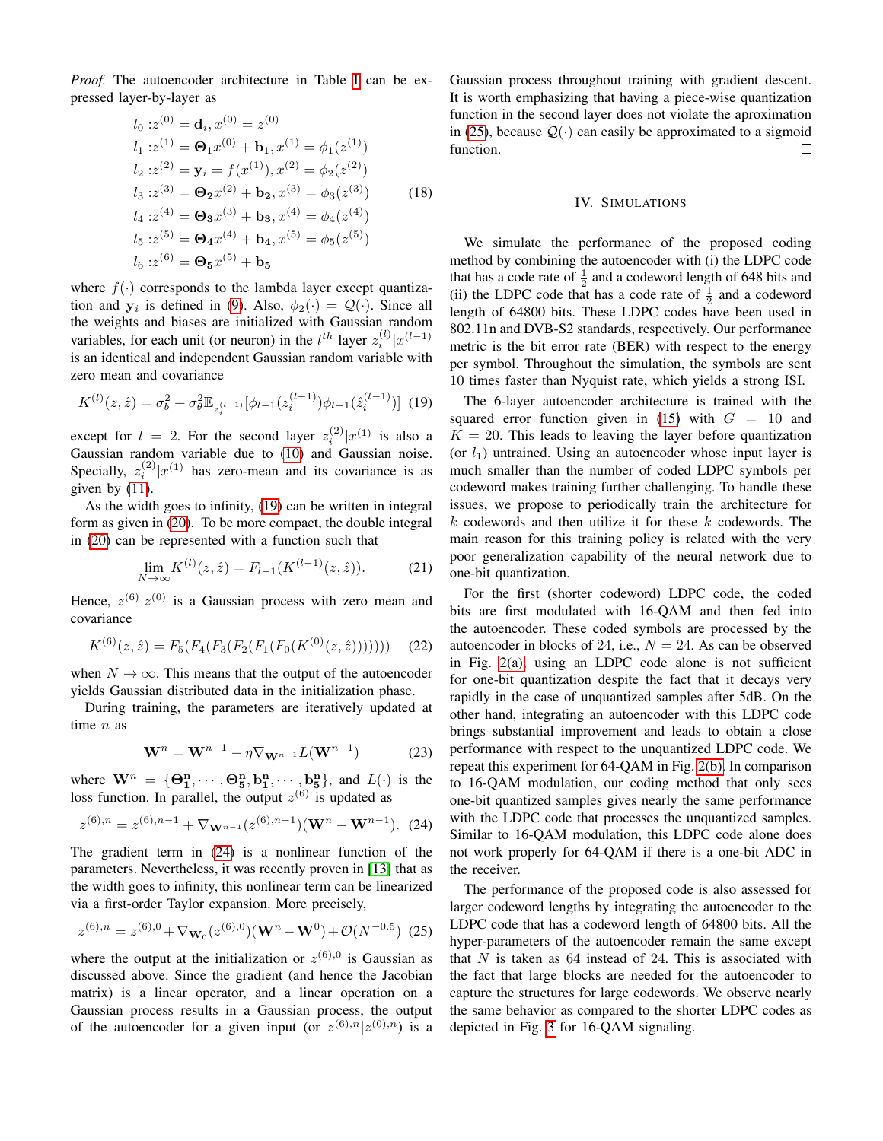*Proof.* The autoencoder architecture in Table [I](#page-1-1) can be expressed layer-by-layer as

$$
l_0: z^{(0)} = \mathbf{d}_i, x^{(0)} = z^{(0)}
$$
  
\n
$$
l_1: z^{(1)} = \Theta_1 x^{(0)} + \mathbf{b}_1, x^{(1)} = \phi_1(z^{(1)})
$$
  
\n
$$
l_2: z^{(2)} = \mathbf{y}_i = f(x^{(1)}), x^{(2)} = \phi_2(z^{(2)})
$$
  
\n
$$
l_3: z^{(3)} = \Theta_2 x^{(2)} + \mathbf{b}_2, x^{(3)} = \phi_3(z^{(3)})
$$
  
\n
$$
l_4: z^{(4)} = \Theta_3 x^{(3)} + \mathbf{b}_3, x^{(4)} = \phi_4(z^{(4)})
$$
  
\n
$$
l_5: z^{(5)} = \Theta_4 x^{(4)} + \mathbf{b}_4, x^{(5)} = \phi_5(z^{(5)})
$$
  
\n
$$
l_6: z^{(6)} = \Theta_5 x^{(5)} + \mathbf{b}_5
$$

where  $f(\cdot)$  corresponds to the lambda layer except quantization and  $y_i$  is defined in [\(9\)](#page-2-7). Also,  $\phi_2(\cdot) = \mathcal{Q}(\cdot)$ . Since all the weights and biases are initialized with Gaussian random variables, for each unit (or neuron) in the  $l^{th}$  layer  $z_i^{(l)} | x^{(l-1)}$ is an identical and independent Gaussian random variable with zero mean and covariance

<span id="page-3-0"></span>
$$
K^{(l)}(z,\hat{z}) = \sigma_b^2 + \sigma_\theta^2 \mathbb{E}_{z_i^{(l-1)}}[\phi_{l-1}(z_i^{(l-1)})\phi_{l-1}(\hat{z}_i^{(l-1)})]
$$
(19)

except for  $l = 2$ . For the second layer  $z_i^{(2)} | x^{(1)}$  is also a Gaussian random variable due to [\(10\)](#page-2-8) and Gaussian noise. Specially,  $z_i^{(2)}|x^{(1)}|$  has zero-mean and its covariance is as given by  $(11)$ .

As the width goes to infinity, [\(19\)](#page-3-0) can be written in integral form as given in [\(20\)](#page-4-12). To be more compact, the double integral in [\(20\)](#page-4-12) can be represented with a function such that

$$
\lim_{N \to \infty} K^{(l)}(z, \hat{z}) = F_{l-1}(K^{(l-1)}(z, \hat{z})).
$$
 (21)

Hence,  $z^{(6)}|z^{(0)}$  is a Gaussian process with zero mean and covariance

$$
K^{(6)}(z,\hat{z}) = F_5(F_4(F_3(F_2(F_1(F_0(K^{(0)}(z,\hat{z}))))))) \tag{22}
$$

when  $N \to \infty$ . This means that the output of the autoencoder yields Gaussian distributed data in the initialization phase.

During training, the parameters are iteratively updated at time  $n$  as

$$
\mathbf{W}^{n} = \mathbf{W}^{n-1} - \eta \nabla_{\mathbf{W}^{n-1}} L(\mathbf{W}^{n-1})
$$
 (23)

where  $\mathbf{W}^n = {\Theta_1^n, \cdots, \Theta_5^n, \mathbf{b}_1^n, \cdots, \mathbf{b}_5^n}$ , and  $L(\cdot)$  is the loss function. In parallel, the output  $z^{(6)}$  is updated as

<span id="page-3-1"></span>
$$
z^{(6),n} = z^{(6),n-1} + \nabla_{\mathbf{W}^{n-1}}(z^{(6),n-1})(\mathbf{W}^n - \mathbf{W}^{n-1}). \tag{24}
$$

The gradient term in [\(24\)](#page-3-1) is a nonlinear function of the parameters. Nevertheless, it was recently proven in [\[13\]](#page-4-13) that as the width goes to infinity, this nonlinear term can be linearized via a first-order Taylor expansion. More precisely,

<span id="page-3-2"></span>
$$
z^{(6),n} = z^{(6),0} + \nabla_{\mathbf{W}_0}(z^{(6),0})(\mathbf{W}^n - \mathbf{W}^0) + \mathcal{O}(N^{-0.5})
$$
 (25)

where the output at the initialization or  $z^{(6),0}$  is Gaussian as discussed above. Since the gradient (and hence the Jacobian matrix) is a linear operator, and a linear operation on a Gaussian process results in a Gaussian process, the output of the autoencoder for a given input (or  $z^{(6),n}|z^{(0),n}$ ) is a Gaussian process throughout training with gradient descent. It is worth emphasizing that having a piece-wise quantization function in the second layer does not violate the aproximation in [\(25\)](#page-3-2), because  $\mathcal{Q}(\cdot)$  can easily be approximated to a sigmoid function.  $\Box$ 

# IV. SIMULATIONS

We simulate the performance of the proposed coding method by combining the autoencoder with (i) the LDPC code that has a code rate of  $\frac{1}{2}$  and a codeword length of 648 bits and (ii) the LDPC code that has a code rate of  $\frac{1}{2}$  and a codeword length of 64800 bits. These LDPC codes have been used in 802.11n and DVB-S2 standards, respectively. Our performance metric is the bit error rate (BER) with respect to the energy per symbol. Throughout the simulation, the symbols are sent 10 times faster than Nyquist rate, which yields a strong ISI.

The 6-layer autoencoder architecture is trained with the squared error function given in [\(15\)](#page-2-10) with  $G = 10$  and  $K = 20$ . This leads to leaving the layer before quantization (or  $l_1$ ) untrained. Using an autoencoder whose input layer is much smaller than the number of coded LDPC symbols per codeword makes training further challenging. To handle these issues, we propose to periodically train the architecture for  $k$  codewords and then utilize it for these  $k$  codewords. The main reason for this training policy is related with the very poor generalization capability of the neural network due to one-bit quantization.

For the first (shorter codeword) LDPC code, the coded bits are first modulated with 16-QAM and then fed into the autoencoder. These coded symbols are processed by the autoencoder in blocks of 24, i.e.,  $N = 24$ . As can be observed in Fig. [2\(a\),](#page-4-14) using an LDPC code alone is not sufficient for one-bit quantization despite the fact that it decays very rapidly in the case of unquantized samples after 5dB. On the other hand, integrating an autoencoder with this LDPC code brings substantial improvement and leads to obtain a close performance with respect to the unquantized LDPC code. We repeat this experiment for 64-QAM in Fig. [2\(b\).](#page-4-15) In comparison to 16-QAM modulation, our coding method that only sees one-bit quantized samples gives nearly the same performance with the LDPC code that processes the unquantized samples. Similar to 16-QAM modulation, this LDPC code alone does not work properly for 64-QAM if there is a one-bit ADC in the receiver.

The performance of the proposed code is also assessed for larger codeword lengths by integrating the autoencoder to the LDPC code that has a codeword length of 64800 bits. All the hyper-parameters of the autoencoder remain the same except that  $N$  is taken as 64 instead of 24. This is associated with the fact that large blocks are needed for the autoencoder to capture the structures for large codewords. We observe nearly the same behavior as compared to the shorter LDPC codes as depicted in Fig. [3](#page-4-16) for 16-QAM signaling.